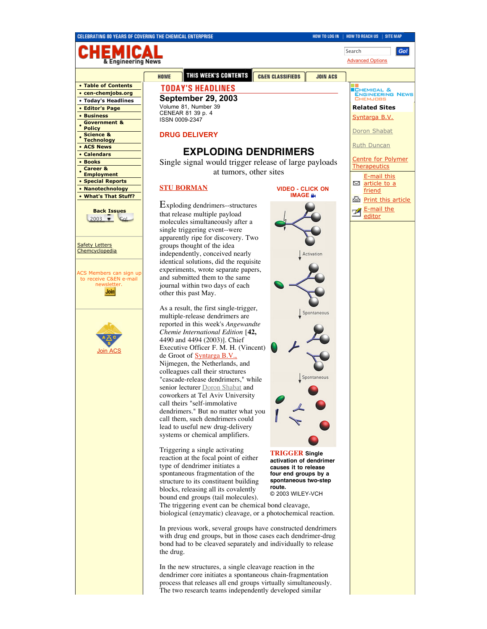